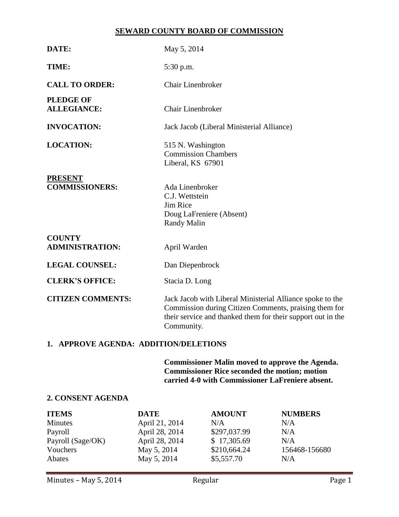## **SEWARD COUNTY BOARD OF COMMISSION**

| DATE:                                   | May 5, 2014                                                                                                                                                                                     |  |  |
|-----------------------------------------|-------------------------------------------------------------------------------------------------------------------------------------------------------------------------------------------------|--|--|
| TIME:                                   | 5:30 p.m.                                                                                                                                                                                       |  |  |
| <b>CALL TO ORDER:</b>                   | <b>Chair Linenbroker</b>                                                                                                                                                                        |  |  |
| <b>PLEDGE OF</b><br><b>ALLEGIANCE:</b>  | <b>Chair Linenbroker</b>                                                                                                                                                                        |  |  |
| <b>INVOCATION:</b>                      | Jack Jacob (Liberal Ministerial Alliance)                                                                                                                                                       |  |  |
| <b>LOCATION:</b>                        | 515 N. Washington<br><b>Commission Chambers</b><br>Liberal, KS 67901                                                                                                                            |  |  |
| <b>PRESENT</b><br><b>COMMISSIONERS:</b> | Ada Linenbroker<br>C.J. Wettstein<br>Jim Rice<br>Doug LaFreniere (Absent)<br>Randy Malin                                                                                                        |  |  |
| <b>COUNTY</b><br><b>ADMINISTRATION:</b> | April Warden                                                                                                                                                                                    |  |  |
| <b>LEGAL COUNSEL:</b>                   | Dan Diepenbrock                                                                                                                                                                                 |  |  |
| <b>CLERK'S OFFICE:</b>                  | Stacia D. Long                                                                                                                                                                                  |  |  |
| <b>CITIZEN COMMENTS:</b>                | Jack Jacob with Liberal Ministerial Alliance spoke to the<br>Commission during Citizen Comments, praising them for<br>their service and thanked them for their support out in the<br>Community. |  |  |

## **1. APPROVE AGENDA: ADDITION/DELETIONS**

**Commissioner Malin moved to approve the Agenda. Commissioner Rice seconded the motion; motion carried 4-0 with Commissioner LaFreniere absent.**

## **2. CONSENT AGENDA**

| <b>ITEMS</b>      | <b>DATE</b>    | <b>AMOUNT</b> | <b>NUMBERS</b> |
|-------------------|----------------|---------------|----------------|
| <b>Minutes</b>    | April 21, 2014 | N/A           | N/A            |
| Payroll           | April 28, 2014 | \$297,037.99  | N/A            |
| Payroll (Sage/OK) | April 28, 2014 | \$17,305.69   | N/A            |
| Vouchers          | May 5, 2014    | \$210,664.24  | 156468-156680  |
| Abates            | May 5, 2014    | \$5,557.70    | N/A            |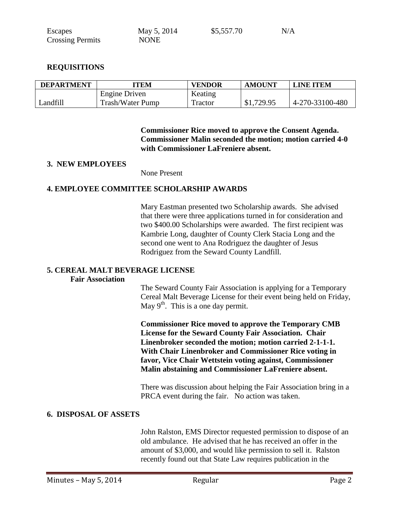| Escapes                 | May 5, 2014 | \$5,557.70 | N/A |
|-------------------------|-------------|------------|-----|
| <b>Crossing Permits</b> | <b>NONE</b> |            |     |

## **REQUISITIONS**

| <b>DEPARTMENT</b> | TTEM                    | <b>VENDOR</b> | <b>AMOUNT</b> | <b>LINE ITEM</b> |
|-------------------|-------------------------|---------------|---------------|------------------|
|                   | Engine Driven           | Keating       |               |                  |
| Landfill          | <b>Trash/Water Pump</b> | Tractor       | \$1,729.95    | 4-270-33100-480  |

**Commissioner Rice moved to approve the Consent Agenda. Commissioner Malin seconded the motion; motion carried 4-0 with Commissioner LaFreniere absent.**

#### **3. NEW EMPLOYEES**

None Present

## **4. EMPLOYEE COMMITTEE SCHOLARSHIP AWARDS**

Mary Eastman presented two Scholarship awards. She advised that there were three applications turned in for consideration and two \$400.00 Scholarships were awarded. The first recipient was Kambrie Long, daughter of County Clerk Stacia Long and the second one went to Ana Rodriguez the daughter of Jesus Rodriguez from the Seward County Landfill.

#### **5. CEREAL MALT BEVERAGE LICENSE**

#### **Fair Association**

The Seward County Fair Association is applying for a Temporary Cereal Malt Beverage License for their event being held on Friday, May  $9<sup>th</sup>$ . This is a one day permit.

**Commissioner Rice moved to approve the Temporary CMB License for the Seward County Fair Association. Chair Linenbroker seconded the motion; motion carried 2-1-1-1. With Chair Linenbroker and Commissioner Rice voting in favor, Vice Chair Wettstein voting against, Commissioner Malin abstaining and Commissioner LaFreniere absent.** 

There was discussion about helping the Fair Association bring in a PRCA event during the fair. No action was taken.

#### **6. DISPOSAL OF ASSETS**

John Ralston, EMS Director requested permission to dispose of an old ambulance. He advised that he has received an offer in the amount of \$3,000, and would like permission to sell it. Ralston recently found out that State Law requires publication in the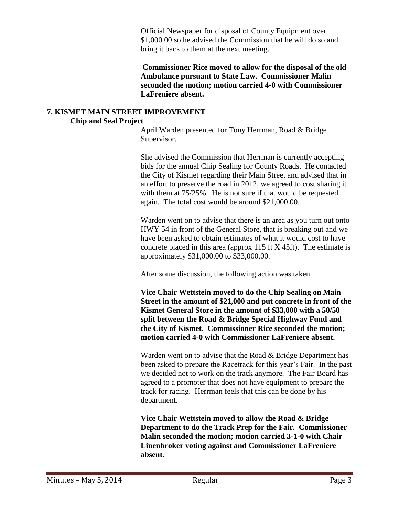Official Newspaper for disposal of County Equipment over \$1,000.00 so he advised the Commission that he will do so and bring it back to them at the next meeting.

**Commissioner Rice moved to allow for the disposal of the old Ambulance pursuant to State Law. Commissioner Malin seconded the motion; motion carried 4-0 with Commissioner LaFreniere absent.**

#### **7. KISMET MAIN STREET IMPROVEMENT Chip and Seal Project**

April Warden presented for Tony Herrman, Road & Bridge Supervisor.

She advised the Commission that Herrman is currently accepting bids for the annual Chip Sealing for County Roads. He contacted the City of Kismet regarding their Main Street and advised that in an effort to preserve the road in 2012, we agreed to cost sharing it with them at  $75/25\%$ . He is not sure if that would be requested again. The total cost would be around \$21,000.00.

Warden went on to advise that there is an area as you turn out onto HWY 54 in front of the General Store, that is breaking out and we have been asked to obtain estimates of what it would cost to have concrete placed in this area (approx 115 ft X 45ft). The estimate is approximately \$31,000.00 to \$33,000.00.

After some discussion, the following action was taken.

**Vice Chair Wettstein moved to do the Chip Sealing on Main Street in the amount of \$21,000 and put concrete in front of the Kismet General Store in the amount of \$33,000 with a 50/50 split between the Road & Bridge Special Highway Fund and the City of Kismet. Commissioner Rice seconded the motion; motion carried 4-0 with Commissioner LaFreniere absent.**

Warden went on to advise that the Road & Bridge Department has been asked to prepare the Racetrack for this year's Fair. In the past we decided not to work on the track anymore. The Fair Board has agreed to a promoter that does not have equipment to prepare the track for racing. Herrman feels that this can be done by his department.

**Vice Chair Wettstein moved to allow the Road & Bridge Department to do the Track Prep for the Fair. Commissioner Malin seconded the motion; motion carried 3-1-0 with Chair Linenbroker voting against and Commissioner LaFreniere absent.**